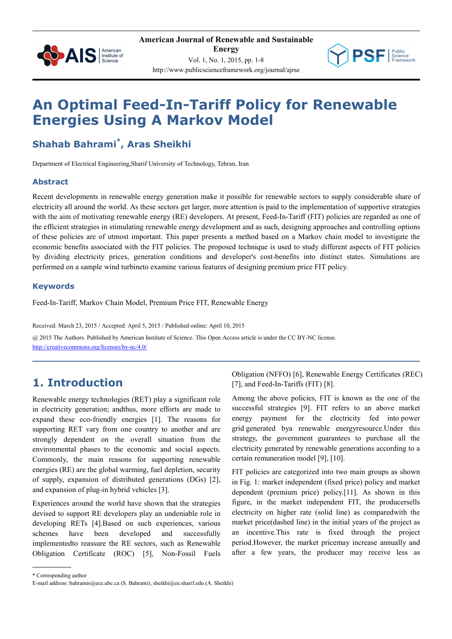



# **An Optimal Feed-In-Tariff Policy for Renewable Energies Using A Markov Model**

# **Shahab Bahrami\* , Aras Sheikhi**

Department of Electrical Engineering,Sharif University of Technology, Tehran, Iran

#### **Abstract**

Recent developments in renewable energy generation make it possible for renewable sectors to supply considerable share of electricity all around the world. As these sectors get larger, more attention is paid to the implementation of supportive strategies with the aim of motivating renewable energy (RE) developers. At present, Feed-In-Tariff (FIT) policies are regarded as one of the efficient strategies in stimulating renewable energy development and as such, designing approaches and controlling options of these policies are of utmost important. This paper presents a method based on a Markov chain model to investigate the economic benefits associated with the FIT policies. The proposed technique is used to study different aspects of FIT policies by dividing electricity prices, generation conditions and developer's cost-benefits into distinct states. Simulations are performed on a sample wind turbineto examine various features of designing premium price FIT policy.

#### **Keywords**

Feed-In-Tariff, Markov Chain Model, Premium Price FIT, Renewable Energy

Received: March 23, 2015 / Accepted: April 5, 2015 / Published online: April 10, 2015

@ 2015 The Authors. Published by American Institute of Science. This Open Access article is under the CC BY-NC license. http://creativecommons.org/licenses/by-nc/4.0/

# **1. Introduction**

Renewable energy technologies (RET) play a significant role in electricity generation; andthus, more efforts are made to expand these eco-friendly energies [1]. The reasons for supporting RET vary from one country to another and are strongly dependent on the overall situation from the environmental phases to the economic and social aspects. Commonly, the main reasons for supporting renewable energies (RE) are the global warming, fuel depletion, security of supply, expansion of distributed generations (DGs) [2], and expansion of plug-in hybrid vehicles [3].

Experiences around the world have shown that the strategies devised to support RE developers play an undeniable role in developing RETs [4].Based on such experiences, various schemes have been developed and successfully implementedto reassure the RE sectors, such as Renewable Obligation Certificate (ROC) [5], Non-Fossil Fuels

Obligation (NFFO) [6], Renewable Energy Certificates (REC) [7], and Feed-In-Tariffs (FIT) [8].

Among the above policies, FIT is known as the one of the successful strategies [9]. FIT refers to an above market energy payment for the electricity fed into power grid generated bya renewable energyresource.Under this strategy, the government guarantees to purchase all the electricity generated by renewable generations according to a certain remuneration model [9], [10].

FIT policies are categorized into two main groups as shown in Fig. 1: market independent (fixed price) policy and market dependent (premium price) policy.[11]. As shown in this figure, in the market independent FIT, the producersells electricity on higher rate (solid line) as comparedwith the market price(dashed line) in the initial years of the project as an incentive.This rate is fixed through the project period.However, the market pricemay increase annually and after a few years, the producer may receive less as

\* Corresponding author

E-mail address: bahramis@ece.ubc.ca (S. Bahrami), sheikhi@ee.sharif.edu (A. Sheikhi)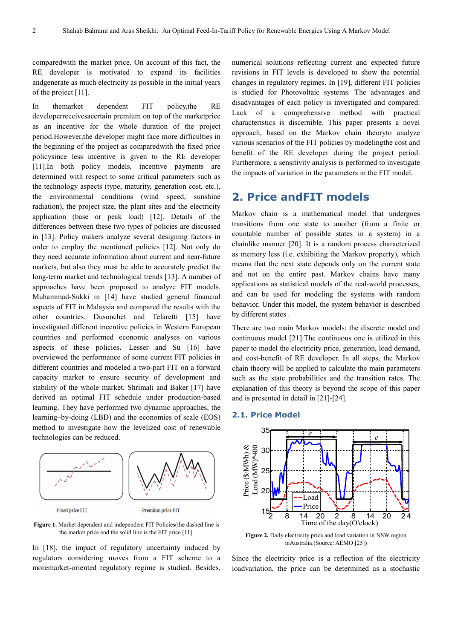comparedwith the market price. On account of this fact, the RE developer is motivated to expand its facilities andgenerate as much electricity as possible in the initial years of the project [11].

In themarket dependent FIT policy,the RE developerreceivesacertain premium on top of the marketprice as an incentive for the whole duration of the project period.However,the developer might face more difficulties in the beginning of the project as comparedwith the fixed price policysince less incentive is given to the RE developer [11].In both policy models, incentive payments are determined with respect to some critical parameters such as the technology aspects (type, maturity, generation cost, etc.), the environmental conditions (wind speed, sunshine radiation), the project size, the plant sites and the electricity application (base or peak load) [12]. Details of the differences between these two types of policies are discussed in [13]. Policy makers analyze several designing factors in order to employ the mentioned policies [12]. Not only do they need accurate information about current and near-future markets, but also they must be able to accurately predict the long-term market and technological trends [13]. A number of approaches have been proposed to analyze FIT models. Muhammad-Sukki in [14] have studied general financial aspects of FIT in Malaysia and compared the results with the other countries. Dusonchet and Telaretti [15] have investigated different incentive policies in Western European countries and performed economic analyses on various aspects of these policies. Lesser and Su [16] have overviewed the performance of some current FIT policies in different countries and modeled a two-part FIT on a forward capacity market to ensure security of development and stability of the whole market. Shrimali and Baker [17] have derived an optimal FIT schedule under production-based learning. They have performed two dynamic approaches, the learning–by-doing (LBD) and the economies of scale (EOS) method to investigate how the levelized cost of renewable technologies can be reduced.



Figure 1. Market dependent and independent FIT Policies(the dashed line is the market price and the solid line is the FIT price [11].

In [18], the impact of regulatory uncertainty induced by regulators considering moves from a FIT scheme to a moremarket-oriented regulatory regime is studied. Besides, numerical solutions reflecting current and expected future revisions in FIT levels is developed to show the potential changes in regulatory regimes. In [19], different FIT policies is studied for Photovoltaic systems. The advantages and disadvantages of each policy is investigated and compared. Lack of a comprehensive method with practical characteristics is discernible. This paper presents a novel approach, based on the Markov chain theoryto analyze various scenarios of the FIT policies by modelingthe cost and benefit of the RE developer during the project period. Furthermore, a sensitivity analysis is performed to investigate the impacts of variation in the parameters in the FIT model.

# **2. Price andFIT models**

Markov chain is a mathematical model that undergoes transitions from one state to another (from a finite or countable number of possible states in a system) in a chainlike manner [20]. It is a random process characterized as memory less (i.e. exhibiting the Markov property), which means that the next state depends only on the current state and not on the entire past. Markov chains have many applications as statistical models of the real-world processes, and can be used for modeling the systems with random behavior. Under this model, the system behavior is described by different states .

There are two main Markov models: the discrete model and continuous model [21].The continuous one is utilized in this paper to model the electricity price, generation, load demand, and cost-benefit of RE developer. In all steps, the Markov chain theory will be applied to calculate the main parameters such as the state probabilities and the transition rates. The explanation of this theory is beyond the scope of this paper and is presented in detail in [21]-[24].

#### **2.1. Price Model**



**Figure 2.** Daily electricity price and load variation in NSW region inAustralia.(Source: AEMO [25])

Since the electricity price is a reflection of the electricity loadvariation, the price can be determined as a stochastic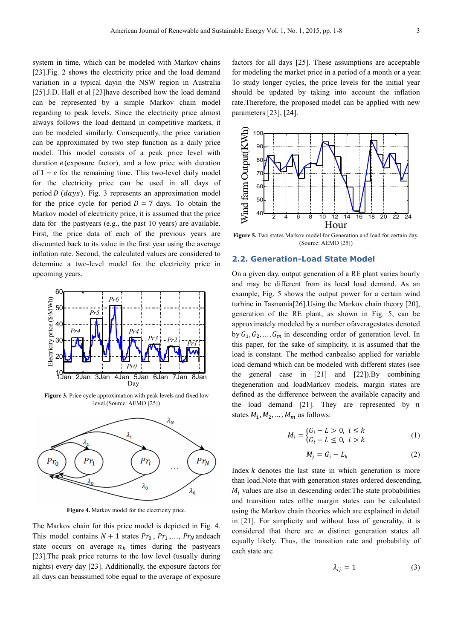system in time, which can be modeled with Markov chains [23].Fig. 2 shows the electricity price and the load demand variation in a typical dayin the NSW region in Australia [25].J.D. Hall et al [23]have described how the load demand can be represented by a simple Markov chain model regarding to peak levels. Since the electricity price almost always follows the load demand in competitive markets, it can be modeled similarly. Consequently, the price variation can be approximated by two step function as a daily price model. This model consists of a peak price level with duration  $e$ (exposure factor), and a low price with duration of  $1 - e$  for the remaining time. This two-level daily model for the electricity price can be used in all days of period  $D$  ( $days$ ). Fig. 3 represents an approximation model for the price cycle for period  $D = 7$  days. To obtain the Markov model of electricity price, it is assumed that the price data for the pastyears (e.g., the past 10 years) are available. First, the price data of each of the previous years are discounted back to its value in the first year using the average inflation rate. Second, the calculated values are considered to determine a two-level model for the electricity price in upcoming years.



**Figure 3.** Price cycle approximation with peak levels and fixed low level.(Source: AEMO [25])



**Figure 4.** Markov model for the electricity price.

The Markov chain for this price model is depicted in Fig. 4. This model contains  $N + 1$  states  $Pr_0$ ,  $Pr_1$ ,...,  $Pr_N$  andeach state occurs on average  $n_k$  times during the pastyears [23].The peak price returns to the low level (usually during nights) every day [23]. Additionally, the exposure factors for all days can beassumed tobe equal to the average of exposure

factors for all days [25]. These assumptions are acceptable for modeling the market price in a period of a month or a year. To study longer cycles, the price levels for the initial year should be updated by taking into account the inflation rate.Therefore, the proposed model can be applied with new parameters [23], [24].



Figure 5. Two states Markov model for Generation and load for certain day. (Source: AEMO [25])

#### **2.2. Generation-Load State Model**

On a given day, output generation of a RE plant varies hourly and may be different from its local load demand. As an example, Fig. 5 shows the output power for a certain wind turbine in Tasmania[26].Using the Markov chain theory [20], generation of the RE plant, as shown in Fig. 5, can be approximately modeled by a number ofaveragestates denoted by  $G_1, G_2, ..., G_m$  in descending order of generation level. In this paper, for the sake of simplicity, it is assumed that the load is constant. The method canbealso applied for variable load demand which can be modeled with different states (see the general case in [21] and [22]).By combining thegeneration and loadMarkov models, margin states are defined as the difference between the available capacity and the load demand [21]. They are represented by  $n$ states  $M_1, M_2, ..., M_m$  as follows:

$$
M_i = \begin{cases} G_i - L > 0, \ i \le k \\ G_i - L \le 0, \ i > k \end{cases}
$$
 (1)

$$
M_j = G_i - L_k \tag{2}
$$

Index  $k$  denotes the last state in which generation is more than load.Note that with generation states ordered descending,  $M_i$  values are also in descending order. The state probabilities and transition rates ofthe margin states can be calculated using the Markov chain theories which are explained in detail in [21]. For simplicity and without loss of generality, it is considered that there are *m* distinct generation states all equally likely. Thus, the transition rate and probability of each state are

$$
\lambda_{ij} = 1 \tag{3}
$$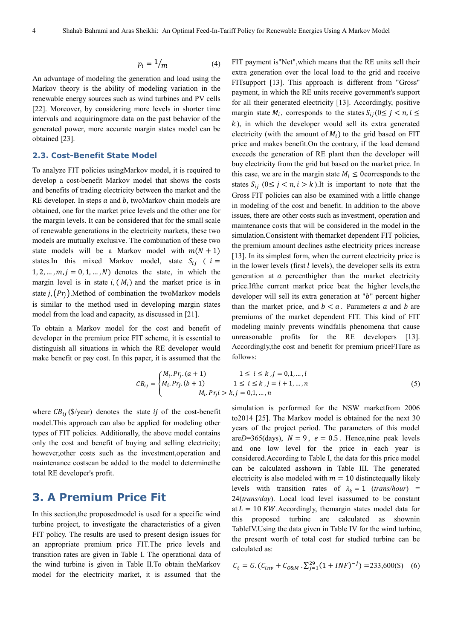$$
p_i = 1/m \tag{4}
$$

An advantage of modeling the generation and load using the Markov theory is the ability of modeling variation in the renewable energy sources such as wind turbines and PV cells [22]. Moreover, by considering more levels in shorter time intervals and acquiringmore data on the past behavior of the generated power, more accurate margin states model can be obtained [23].

#### **2.3. Cost-Benefit State Model**

To analyze FIT policies usingMarkov model, it is required to develop a cost-benefit Markov model that shows the costs and benefits of trading electricity between the market and the RE developer. In steps  $a$  and  $b$ , twoMarkov chain models are obtained, one for the market price levels and the other one for the margin levels. It can be considered that for the small scale of renewable generations in the electricity markets, these two models are mutually exclusive. The combination of these two state models will be a Markov model with  $m(N + 1)$ states.In this mixed Markov model, state  $S_{ii}$  (  $i =$  $1, 2, ..., m, j = 0, 1, ..., N$  denotes the state, in which the margin level is in state  $i$ ,  $(M_i)$  and the market price is in state *j*,  $(Pr<sub>i</sub>)$ . Method of combination the twoMarkov models is similar to the method used in developing margin states model from the load and capacity, as discussed in [21].

To obtain a Markov model for the cost and benefit of developer in the premium price FIT scheme, it is essential to distinguish all situations in which the RE developer would make benefit or pay cost. In this paper, it is assumed that the

FIT payment is"Net",which means that the RE units sell their extra generation over the local load to the grid and receive FITsupport [13]. This approach is different from "Gross" payment, in which the RE units receive government's support for all their generated electricity [13]. Accordingly, positive margin state  $M_i$ , corresponds to the states  $S_{ij}$  ( $0 \le j \le n, i \le k$ )  $k$ ), in which the developer would sell its extra generated electricity (with the amount of  $M_i$ ) to the grid based on FIT price and makes benefit.On the contrary, if the load demand exceeds the generation of RE plant then the developer will buy electricity from the grid but based on the market price. In this case, we are in the margin state  $M_i \leq 0$  corresponds to the states  $S_{ij}$  ( $0 \le j < n, i > k$ ).It is important to note that the Gross FIT policies can also be examined with a little change in modeling of the cost and benefit. In addition to the above issues, there are other costs such as investment, operation and maintenance costs that will be considered in the model in the simulation.Consistent with themarket dependent FIT policies, the premium amount declines asthe electricity prices increase [13]. In its simplest form, when the current electricity price is in the lower levels (first  $l$  levels), the developer sells its extra generation at  $a$  percenthigher than the market electricity price.Ifthe current market price beat the higher levels,the developer will sell its extra generation at " $b$ " percent higher than the market price, and  $b < a$ . Parameters a and b are premiums of the market dependent FIT. This kind of FIT modeling mainly prevents windfalls phenomena that cause unreasonable profits for the RE developers [13]. Accordingly,the cost and benefit for premium priceFITare as follows:

$$
CB_{ij} = \begin{cases} M_i.Pr_j.(a+1) & 1 \le i \le k, j = 0,1,...,l \\ M_i.Pr_j.(b+1) & 1 \le i \le k, j = l+1,...,n \\ M_i.Pr_ji > k, j = 0,1,...,n \end{cases}
$$
(5)

where  $CB_{ij}$  (\$/year) denotes the state ij of the cost-benefit model.This approach can also be applied for modeling other types of FIT policies. Additionally, the above model contains only the cost and benefit of buying and selling electricity; however,other costs such as the investment,operation and maintenance costscan be added to the model to determinethe total RE developer's profit.

### **3. A Premium Price Fit**

In this section,the proposedmodel is used for a specific wind turbine project, to investigate the characteristics of a given FIT policy. The results are used to present design issues for an appropriate premium price FIT.The price levels and transition rates are given in Table I. The operational data of the wind turbine is given in Table II.To obtain theMarkov model for the electricity market, it is assumed that the simulation is performed for the NSW marketfrom 2006 to2014 [25]. The Markov model is obtained for the next 30 years of the project period. The parameters of this model are $D=365$ (days),  $N=9$ ,  $e=0.5$ . Hence,nine peak levels and one low level for the price in each year is considered.According to Table I, the data for this price model can be calculated asshown in Table III. The generated electricity is also modeled with  $m = 10$  distinctequally likely levels with transition rates of  $\lambda_k = 1$  (*trans/hour*) = 24(*trans/day*). Local load level isassumed to be constant at  $L = 10$  KW. Accordingly, themargin states model data for this proposed turbine are calculated as shownin TableIV.Using the data given in Table IV for the wind turbine, the present worth of total cost for studied turbine can be calculated as:

$$
C_t = G \cdot (C_{inv} + C_{0RM} \cdot \Sigma_{j=1}^{29} (1 + INF)^{-j}) = 233,600(\text{S}) \quad (6)
$$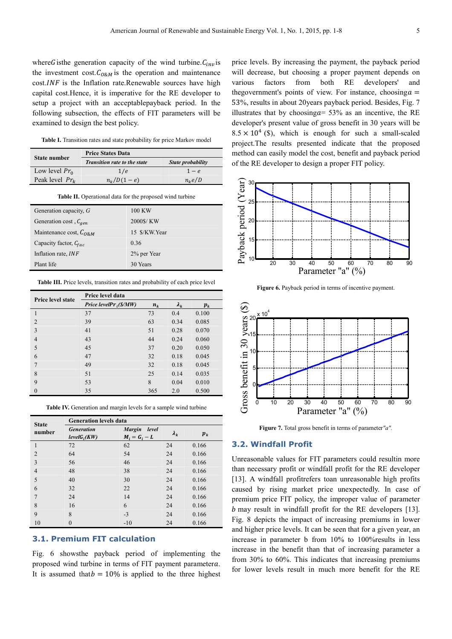where G is the generation capacity of the wind turbine.  $C_{inv}$  is the investment cost.  $C_{O\&M}$  is the operation and maintenance  $cost$ .*INF* is the Inflation rate.Renewable sources have high capital cost.Hence, it is imperative for the RE developer to setup a project with an acceptablepayback period. In the following subsection, the effects of FIT parameters will be examined to design the best policy.

Table I. Transition rates and state probability for price Markov model

| State number      | <b>Price States Data</b>            |                   |  |  |
|-------------------|-------------------------------------|-------------------|--|--|
|                   | <b>Transition rate to the state</b> | State probability |  |  |
| Low level $Pr_0$  | 1/e                                 | $1-e$             |  |  |
| Peak level $Pr_k$ | $n_{k}/D(1-e)$                      | $n_k e/D$         |  |  |

**Table II.** Operational data for the proposed wind turbine

| Generation capacity, $G$          | 100 KW        |
|-----------------------------------|---------------|
| Generation cost, $C_{gen}$        | 2000\$/KW     |
| Maintenance cost, $C_{\Omega 8M}$ | 15 \$/KW.Year |
| Capacity factor, $C_{fac}$        | 0.36          |
| Inflation rate, INF               | 2% per Year   |
| Plant life                        | 30 Years      |
|                                   |               |

Table III. Price levels, transition rates and probability of each price level

| <b>Price level state</b> | Price level data                                                    |       |             |       |
|--------------------------|---------------------------------------------------------------------|-------|-------------|-------|
|                          | Price levelPr <sub>i</sub> ( $\mathcal{S}/\mathcal{M}\mathcal{W}$ ) | $n_k$ | $\lambda_k$ | $p_k$ |
|                          | 37                                                                  | 73    | 0.4         | 0.100 |
| $\overline{2}$           | 39                                                                  | 63    | 0.34        | 0.085 |
| 3                        | 41                                                                  | 51    | 0.28        | 0.070 |
| $\overline{4}$           | 43                                                                  | 44    | 0.24        | 0.060 |
| 5                        | 45                                                                  | 37    | 0.20        | 0.050 |
| 6                        | 47                                                                  | 32    | 0.18        | 0.045 |
| $\overline{7}$           | 49                                                                  | 32    | 0.18        | 0.045 |
| 8                        | 51                                                                  | 25    | 0.14        | 0.035 |
| 9                        | 53                                                                  | 8     | 0.04        | 0.010 |
| $\mathbf{0}$             | 35                                                                  | 365   | 2.0         | 0.500 |

Table IV. Generation and margin levels for a sample wind turbine

| <b>State</b><br>number | <b>Generation levels data</b>       |                                           |             |         |  |  |
|------------------------|-------------------------------------|-------------------------------------------|-------------|---------|--|--|
|                        | <b>Generation</b><br>$levelG_i(KW)$ | <b>Margin</b><br>level<br>$M_i = G_i - L$ | $\lambda_k$ | $p_{k}$ |  |  |
| 1                      | 72                                  | 62                                        | 24          | 0.166   |  |  |
| $\mathfrak{D}$         | 64                                  | 54                                        | 24          | 0.166   |  |  |
| 3                      | 56                                  | 46                                        | 24          | 0.166   |  |  |
| $\overline{4}$         | 48                                  | 38                                        | 24          | 0.166   |  |  |
| 5                      | 40                                  | 30                                        | 24          | 0.166   |  |  |
| 6                      | 32                                  | 22                                        | 24          | 0.166   |  |  |
| 7                      | 24                                  | 14                                        | 24          | 0.166   |  |  |
| 8                      | 16                                  | 6                                         | 24          | 0.166   |  |  |
| 9                      | 8                                   | $-3$                                      | 24          | 0.166   |  |  |
| 10                     | $\theta$                            | $-10$                                     | 24          | 0.166   |  |  |

#### **3.1. Premium FIT calculation**

Fig. 6 showsthe payback period of implementing the proposed wind turbine in terms of FIT payment parametera. It is assumed that  $b = 10\%$  is applied to the three highest price levels. By increasing the payment, the payback period will decrease, but choosing a proper payment depends on various factors from both RE developers' and thegovernment's points of view. For instance, choosing  $a =$ 53%, results in about 20years payback period. Besides, Fig. 7 illustrates that by choosing $a= 53\%$  as an incentive, the RE developer's present value of gross benefit in 30 years will be  $8.5 \times 10^4$  (\$), which is enough for such a small-scaled project.The results presented indicate that the proposed method can easily model the cost, benefit and payback period of the RE developer to design a proper FIT policy.



Figure 6. Payback period in terms of incentive payment.



**Figure 7.** Total gross benefit in terms of parameter*"a".*

#### **3.2. Windfall Profit**

Unreasonable values for FIT parameters could resultin more than necessary profit or windfall profit for the RE developer [13]. A windfall profitrefers toan unreasonable high profits caused by rising market price unexpectedly. In case of premium price FIT policy, the improper value of parameter  *may result in windfall profit for the RE developers [13].* Fig. 8 depicts the impact of increasing premiums in lower and higher price levels. It can be seen that for a given year, an increase in parameter b from 10% to 100%results in less increase in the benefit than that of increasing parameter a from 30% to 60%. This indicates that increasing premiums for lower levels result in much more benefit for the RE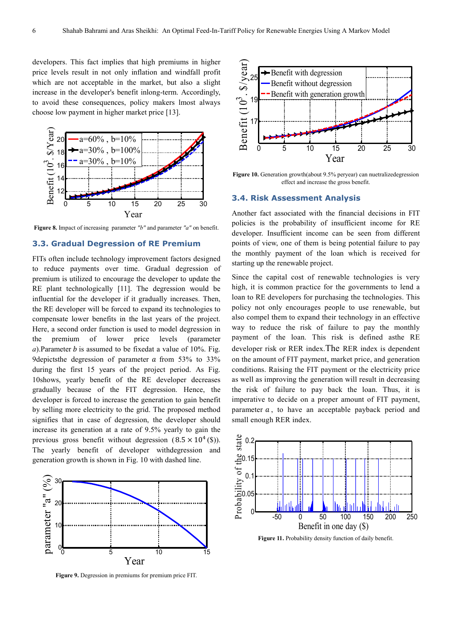developers. This fact implies that high premiums in higher price levels result in not only inflation and windfall profit which are not acceptable in the market, but also a slight increase in the developer's benefit inlong-term. Accordingly, to avoid these consequences, policy makers lmost always choose low payment in higher market price [13].



**Figure 8.** Impact of increasing parameter *"b"* and parameter *"a"* on benefit.

#### **3.3. Gradual Degression of RE Premium**

FITs often include technology improvement factors designed to reduce payments over time. Gradual degression of premium is utilized to encourage the developer to update the RE plant technologically [11]. The degression would be influential for the developer if it gradually increases. Then, the RE developer will be forced to expand its technologies to compensate lower benefits in the last years of the project. Here, a second order function is used to model degression in the premium of lower price levels (parameter  $a)$ . Parameter  $b$  is assumed to be fixedat a value of 10%. Fig. 9depicts the degression of parameter  $\alpha$  from 53% to 33% during the first 15 years of the project period. As Fig. 10shows, yearly benefit of the RE developer decreases gradually because of the FIT degression. Hence, the developer is forced to increase the generation to gain benefit by selling more electricity to the grid. The proposed method signifies that in case of degression, the developer should increase its generation at a rate of 9.5% yearly to gain the previous gross benefit without degression  $(8.5 \times 10^4 \text{ (S)}).$ The yearly benefit of developer withdegression and generation growth is shown in Fig. 10 with dashed line.



**Figure 9.** Degression in premiums for premium price FIT.



Figure 10. Generation growth(about 9.5% peryear) can nuetralizedegression effect and increase the gross benefit.

#### **3.4. Risk Assessment Analysis**

Another fact associated with the financial decisions in FIT policies is the probability of insufficient income for RE developer. Insufficient income can be seen from different points of view, one of them is being potential failure to pay the monthly payment of the loan which is received for starting up the renewable project.

Since the capital cost of renewable technologies is very high, it is common practice for the governments to lend a loan to RE developers for purchasing the technologies. This policy not only encourages people to use renewable, but also compel them to expand their technology in an effective way to reduce the risk of failure to pay the monthly payment of the loan. This risk is defined asthe RE developer risk or RER index.The RER index is dependent on the amount of FIT payment, market price, and generation conditions. Raising the FIT payment or the electricity price as well as improving the generation will result in decreasing the risk of failure to pay back the loan. Thus, it is imperative to decide on a proper amount of FIT payment, parameter  $a$ , to have an acceptable payback period and small enough RER index.



Figure 11. Probability density function of daily benefit.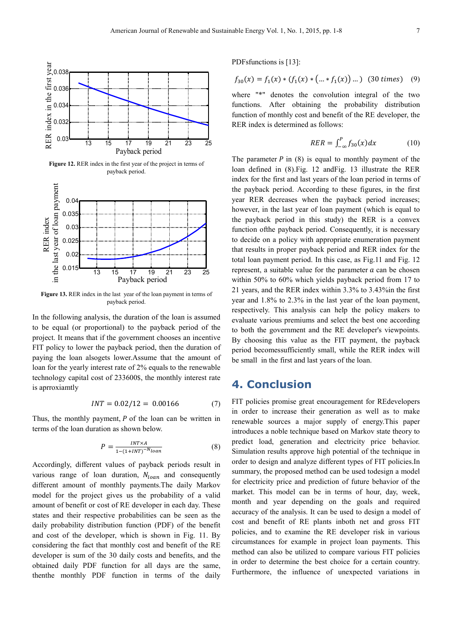

**Figure 13.** RER index in the last year of the loan payment in terms of <sup>13</sup> <sup>15</sup> <sup>17</sup> <sup>19</sup> <sup>21</sup> <sup>23</sup> <sup>25</sup> 0.015 Payback period

payback period.

In the following analysis, the duration of the loan is assumed to be equal (or proportional) to the payback period of the project. It means that if the government chooses an incentive FIT policy to lower the payback period, then the duration of paying the loan alsogets lower.Assume that the amount of loan for the yearly interest rate of 2% equals to the renewable technology capital cost of 233600\$, the monthly interest rate is aprroxiamtly

$$
INT = 0.02/12 = 0.00166 \tag{7}
$$

Thus, the monthly payment,  $P$  of the loan can be written in terms of the loan duration as shown below.

$$
P = \frac{INT \times A}{1 - (1 + INT)^{-N} loan} \tag{8}
$$

Accordingly, different values of payback periods result in various range of loan duration,  $N_{loan}$  and consequently different amount of monthly payments.The daily Markov model for the project gives us the probability of a valid amount of benefit or cost of RE developer in each day. These states and their respective probabilities can be seen as the daily probability distribution function (PDF) of the benefit and cost of the developer, which is shown in Fig. 11. By considering the fact that monthly cost and benefit of the RE developer is sum of the 30 daily costs and benefits, and the obtained daily PDF function for all days are the same, thenthe monthly PDF function in terms of the daily PDFsfunctions is [13]:

$$
f_{30}(x) = f_1(x) * (f_1(x) * (... * f_1(x)) ...)
$$
 (30 times) (9)

where "\*" denotes the convolution integral of the two functions. After obtaining the probability distribution function of monthly cost and benefit of the RE developer, the RER index is determined as follows:

$$
RER = \int_{-\infty}^{P} f_{30}(x) dx \qquad (10)
$$

The parameter  $P$  in (8) is equal to monthly payment of the loan defined in (8).Fig. 12 andFig. 13 illustrate the RER index for the first and last years of the loan period in terms of the payback period. According to these figures, in the first year RER decreases when the payback period increases; however, in the last year of loan payment (which is equal to the payback period in this study) the RER is a convex function ofthe payback period. Consequently, it is necessary to decide on a policy with appropriate enumeration payment that results in proper payback period and RER index for the total loan payment period. In this case, as Fig.11 and Fig. 12 represent, a suitable value for the parameter  $a$  can be chosen within 50% to 60% which yields payback period from 17 to 21 years, and the RER index within 3.3% to 3.43%in the first year and 1.8% to 2.3% in the last year of the loan payment, respectively. This analysis can help the policy makers to evaluate various premiums and select the best one according to both the government and the RE developer's viewpoints. By choosing this value as the FIT payment, the payback period becomessufficiently small, while the RER index will be small in the first and last years of the loan.

### **4. Conclusion**

FIT policies promise great encouragement for REdevelopers in order to increase their generation as well as to make renewable sources a major supply of energy.This paper introduces a noble technique based on Markov state theory to predict load, generation and electricity price behavior. Simulation results approve high potential of the technique in order to design and analyze different types of FIT policies.In summary, the proposed method can be used todesign a model for electricity price and prediction of future behavior of the market. This model can be in terms of hour, day, week, month and year depending on the goals and required accuracy of the analysis. It can be used to design a model of cost and benefit of RE plants inboth net and gross FIT policies, and to examine the RE developer risk in various circumstances for example in project loan payments. This method can also be utilized to compare various FIT policies in order to determine the best choice for a certain country. Furthermore, the influence of unexpected variations in